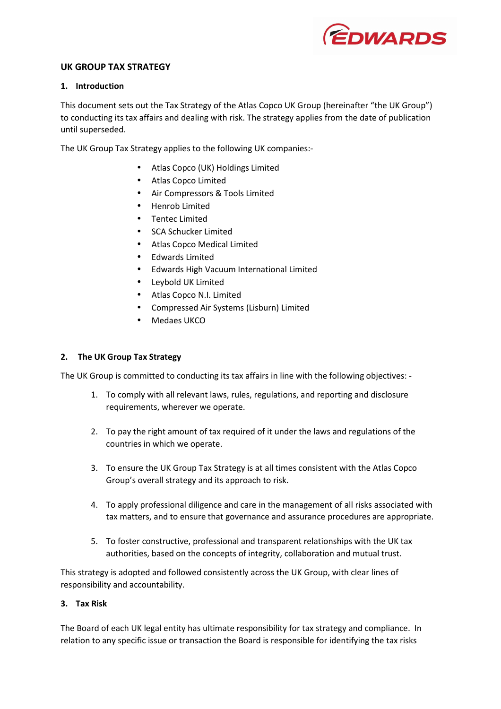

# **UK GROUP TAX STRATEGY**

### **1. Introduction**

This document sets out the Tax Strategy of the Atlas Copco UK Group (hereinafter "the UK Group") to conducting its tax affairs and dealing with risk. The strategy applies from the date of publication until superseded.

The UK Group Tax Strategy applies to the following UK companies:-

- Atlas Copco (UK) Holdings Limited
- Atlas Copco Limited
- Air Compressors & Tools Limited
- Henrob Limited
- Tentec Limited
- SCA Schucker Limited
- Atlas Copco Medical Limited
- Edwards Limited
- Edwards High Vacuum International Limited
- Leybold UK Limited
- Atlas Copco N.I. Limited
- Compressed Air Systems (Lisburn) Limited
- Medaes UKCO

# **2. The UK Group Tax Strategy**

The UK Group is committed to conducting its tax affairs in line with the following objectives: -

- 1. To comply with all relevant laws, rules, regulations, and reporting and disclosure requirements, wherever we operate.
- 2. To pay the right amount of tax required of it under the laws and regulations of the countries in which we operate.
- 3. To ensure the UK Group Tax Strategy is at all times consistent with the Atlas Copco Group's overall strategy and its approach to risk.
- 4. To apply professional diligence and care in the management of all risks associated with tax matters, and to ensure that governance and assurance procedures are appropriate.
- 5. To foster constructive, professional and transparent relationships with the UK tax authorities, based on the concepts of integrity, collaboration and mutual trust.

This strategy is adopted and followed consistently across the UK Group, with clear lines of responsibility and accountability.

### **3. Tax Risk**

The Board of each UK legal entity has ultimate responsibility for tax strategy and compliance. In relation to any specific issue or transaction the Board is responsible for identifying the tax risks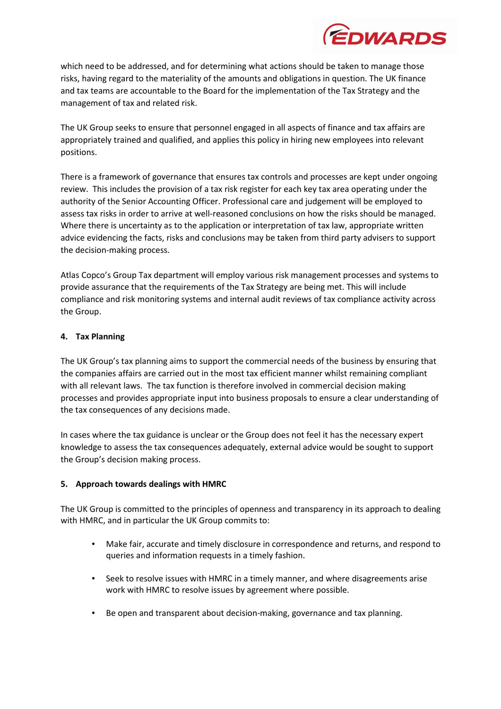

which need to be addressed, and for determining what actions should be taken to manage those risks, having regard to the materiality of the amounts and obligations in question. The UK finance and tax teams are accountable to the Board for the implementation of the Tax Strategy and the management of tax and related risk.

The UK Group seeks to ensure that personnel engaged in all aspects of finance and tax affairs are appropriately trained and qualified, and applies this policy in hiring new employees into relevant positions.

There is a framework of governance that ensures tax controls and processes are kept under ongoing review. This includes the provision of a tax risk register for each key tax area operating under the authority of the Senior Accounting Officer. Professional care and judgement will be employed to assess tax risks in order to arrive at well-reasoned conclusions on how the risks should be managed. Where there is uncertainty as to the application or interpretation of tax law, appropriate written advice evidencing the facts, risks and conclusions may be taken from third party advisers to support the decision-making process.

Atlas Copco's Group Tax department will employ various risk management processes and systems to provide assurance that the requirements of the Tax Strategy are being met. This will include compliance and risk monitoring systems and internal audit reviews of tax compliance activity across the Group.

#### **4. Tax Planning**

The UK Group's tax planning aims to support the commercial needs of the business by ensuring that the companies affairs are carried out in the most tax efficient manner whilst remaining compliant with all relevant laws. The tax function is therefore involved in commercial decision making processes and provides appropriate input into business proposals to ensure a clear understanding of the tax consequences of any decisions made.

In cases where the tax guidance is unclear or the Group does not feel it has the necessary expert knowledge to assess the tax consequences adequately, external advice would be sought to support the Group's decision making process.

# **5. Approach towards dealings with HMRC**

The UK Group is committed to the principles of openness and transparency in its approach to dealing with HMRC, and in particular the UK Group commits to:

- Make fair, accurate and timely disclosure in correspondence and returns, and respond to queries and information requests in a timely fashion.
- Seek to resolve issues with HMRC in a timely manner, and where disagreements arise work with HMRC to resolve issues by agreement where possible.
- Be open and transparent about decision-making, governance and tax planning.